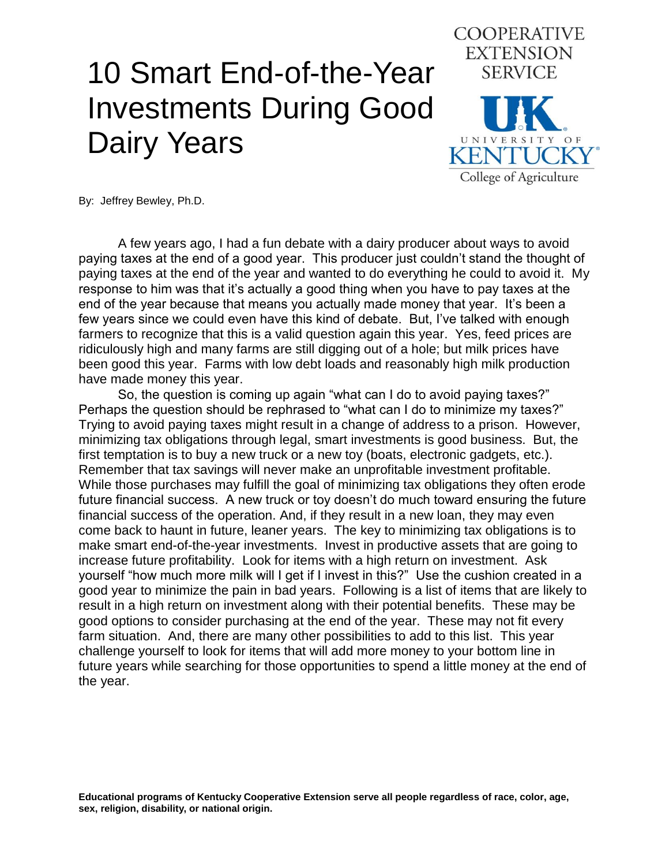## 10 Smart End-of-the-Year Investments During Good Dairy Years



By: Jeffrey Bewley, Ph.D.

A few years ago, I had a fun debate with a dairy producer about ways to avoid paying taxes at the end of a good year. This producer just couldn't stand the thought of paying taxes at the end of the year and wanted to do everything he could to avoid it. My response to him was that it's actually a good thing when you have to pay taxes at the end of the year because that means you actually made money that year. It's been a few years since we could even have this kind of debate. But, I've talked with enough farmers to recognize that this is a valid question again this year. Yes, feed prices are ridiculously high and many farms are still digging out of a hole; but milk prices have been good this year. Farms with low debt loads and reasonably high milk production have made money this year.

So, the question is coming up again "what can I do to avoid paying taxes?" Perhaps the question should be rephrased to "what can I do to minimize my taxes?" Trying to avoid paying taxes might result in a change of address to a prison. However, minimizing tax obligations through legal, smart investments is good business. But, the first temptation is to buy a new truck or a new toy (boats, electronic gadgets, etc.). Remember that tax savings will never make an unprofitable investment profitable. While those purchases may fulfill the goal of minimizing tax obligations they often erode future financial success. A new truck or toy doesn't do much toward ensuring the future financial success of the operation. And, if they result in a new loan, they may even come back to haunt in future, leaner years. The key to minimizing tax obligations is to make smart end-of-the-year investments. Invest in productive assets that are going to increase future profitability. Look for items with a high return on investment. Ask yourself "how much more milk will I get if I invest in this?" Use the cushion created in a good year to minimize the pain in bad years. Following is a list of items that are likely to result in a high return on investment along with their potential benefits. These may be good options to consider purchasing at the end of the year. These may not fit every farm situation. And, there are many other possibilities to add to this list. This year challenge yourself to look for items that will add more money to your bottom line in future years while searching for those opportunities to spend a little money at the end of the year.